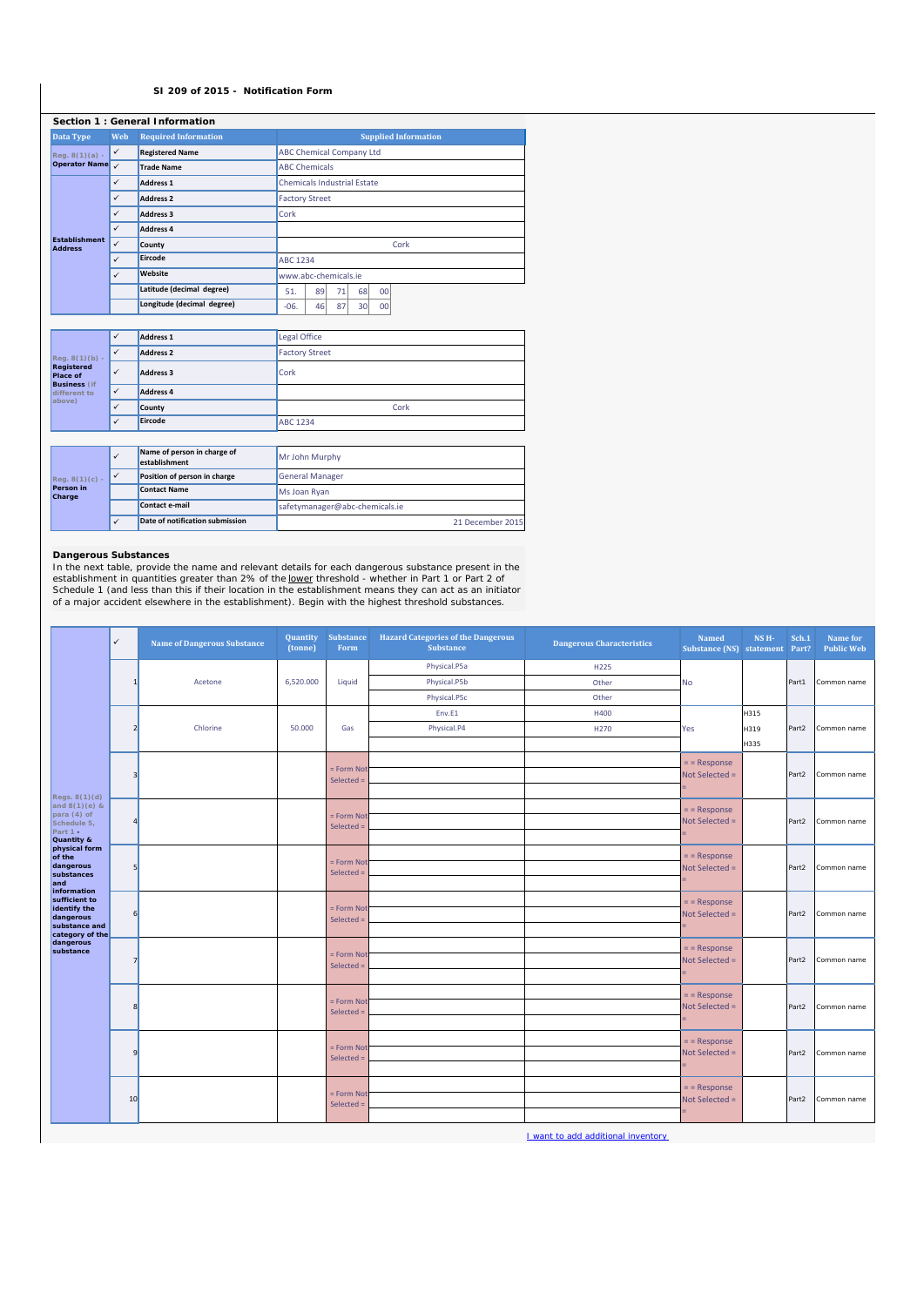## **SI 209 of 2015 - Notification Form**

|                                        | Section 1 : General Information |                             |                                    |
|----------------------------------------|---------------------------------|-----------------------------|------------------------------------|
| <b>Data Type</b>                       | Web                             | <b>Required Information</b> | <b>Supplied Information</b>        |
| $Req. 8(1)(a) -$                       | $\checkmark$                    | <b>Registered Name</b>      | <b>ABC Chemical Company Ltd</b>    |
| <b>Operator Name</b>                   | $\checkmark$                    | <b>Trade Name</b>           | <b>ABC Chemicals</b>               |
|                                        | $\checkmark$                    | <b>Address 1</b>            | <b>Chemicals Industrial Estate</b> |
|                                        | $\checkmark$                    | <b>Address 2</b>            | <b>Factory Street</b>              |
|                                        | ✓                               | <b>Address 3</b>            | Cork                               |
|                                        | $\checkmark$                    | <b>Address 4</b>            |                                    |
| <b>Establishment</b><br><b>Address</b> | $\checkmark$                    | County                      | Cork                               |
|                                        | $\checkmark$                    | Eircode                     | <b>ABC 1234</b>                    |
|                                        | $\checkmark$                    | Website                     | www.abc-chemicals.ie               |
|                                        |                                 | Latitude (decimal degree)   | 89<br>71<br>68<br>00<br>51.        |
|                                        |                                 | Longitude (decimal degree)  | 87<br>46<br>$-06.$<br>30<br>00     |

|                                                      | $\checkmark$                      | Address <sub>1</sub>                         | Legal Office          |
|------------------------------------------------------|-----------------------------------|----------------------------------------------|-----------------------|
| $Reg. 8(1)(b) -$                                     | $\checkmark$                      | <b>Address 2</b>                             | <b>Factory Street</b> |
| Registered<br><b>Place of</b><br><b>Business</b> (if | $\checkmark$<br>Cork<br>Address 3 |                                              |                       |
| different to                                         | $\checkmark$                      | <b>Address 4</b>                             |                       |
| above)                                               | $\checkmark$                      | County                                       | Cork                  |
|                                                      | $\checkmark$                      | Eircode                                      | <b>ABC 1234</b>       |
|                                                      |                                   |                                              |                       |
|                                                      | $\checkmark$                      | Name of person in charge of<br>establishment | Mr John Murphy        |
|                                                      | $\overline{\phantom{a}}$          | .                                            | .                     |

|                     | .                               |                                |
|---------------------|---------------------------------|--------------------------------|
| $ $ Req. 8(1)(c) -  | Position of person in charge    | <b>General Manager</b>         |
| Person in<br>Charge | <b>Contact Name</b>             | <b>IMs Joan Ryan</b>           |
|                     | Contact e-mail                  | safetymanager@abc-chemicals.ie |
|                     | Date of notification submission | 21 December 2015               |
|                     |                                 |                                |

**Dangerous Substances**<br>In the next table, provide the name and relevant details for each dangerous substance present in the<br>establishment in quantities greater than 2% of the <u>lower</u> threshold - whether in Part 1 or Part 2

|                                | $\checkmark$ | <b>Name of Dangerous Substance</b> | (tonne)   | <b>Quantity</b> Substance<br>Form | <b>Hazard Categories of the Dangerous</b><br><b>Substance</b> | <b>Dangerous Characteristics</b> | <b>Named</b><br>Substance (NS) statement Part? | NS <sub>H</sub> - | Sch.1 | Name for<br><b>Public Web</b> |
|--------------------------------|--------------|------------------------------------|-----------|-----------------------------------|---------------------------------------------------------------|----------------------------------|------------------------------------------------|-------------------|-------|-------------------------------|
|                                |              |                                    |           |                                   | Physical.P5a                                                  | H225                             |                                                |                   |       |                               |
|                                |              | Acetone                            | 6,520.000 | Liquid                            | Physical.P5b                                                  | Other                            | No                                             |                   | Part1 | Common name                   |
|                                |              |                                    |           |                                   | Physical.P5c                                                  | Other                            |                                                |                   |       |                               |
|                                |              |                                    |           |                                   | Env.E1                                                        | H400                             |                                                | H315              |       |                               |
|                                |              | Chlorine                           | 50.000    | Gas                               | Physical.P4                                                   | H270                             | Yes                                            | H319              | Part2 | Common name                   |
|                                |              |                                    |           |                                   |                                                               |                                  |                                                | H335              |       |                               |
|                                |              |                                    |           | = Form Not                        |                                                               |                                  | $=$ = Response                                 |                   |       |                               |
|                                |              |                                    |           | Selected =                        |                                                               |                                  | Not Selected =                                 |                   | Part2 | Common name                   |
| Regs. 8(1)(d)                  |              |                                    |           |                                   |                                                               |                                  |                                                |                   |       |                               |
| and $8(1)(e)$ &<br>para (4) of |              |                                    |           | = Form Not                        |                                                               |                                  | $=$ = Response                                 |                   |       |                               |
| Schedule 5,<br>Part 1 -        |              |                                    |           | Selected $=$                      |                                                               |                                  | Not Selected =                                 |                   | Part2 | Common name                   |
| Quantity &<br>physical form    |              |                                    |           |                                   |                                                               |                                  |                                                |                   |       |                               |
| of the<br>dangerous            |              |                                    |           | = Form Not                        |                                                               |                                  | $=$ = Response<br>Not Selected =               |                   | Part2 | Common name                   |
| substances<br>land             |              |                                    |           | Selected $=$                      |                                                               |                                  |                                                |                   |       |                               |
| information<br>sufficient to   |              |                                    |           |                                   |                                                               |                                  |                                                |                   |       |                               |
| identify the                   | 6            |                                    |           | = Form Not                        |                                                               |                                  | $=$ = Response<br>Not Selected =               |                   | Part2 | Common name                   |
| dangerous<br>substance and     |              |                                    |           | Selected $=$                      |                                                               |                                  |                                                |                   |       |                               |
| category of the<br>dangerous   |              |                                    |           |                                   |                                                               |                                  | $=$ = Response                                 |                   |       |                               |
| substance                      |              |                                    |           | = Form Not                        |                                                               |                                  | Not Selected =                                 |                   | Part2 | Common name                   |
|                                |              |                                    |           | Selected =                        |                                                               |                                  |                                                |                   |       |                               |
|                                |              |                                    |           |                                   |                                                               |                                  | $=$ = Response                                 |                   |       |                               |
|                                |              |                                    |           | = Form Not<br>Selected =          |                                                               |                                  | Not Selected =                                 |                   | Part2 | Common name                   |
|                                |              |                                    |           |                                   |                                                               |                                  |                                                |                   |       |                               |
|                                |              |                                    |           |                                   |                                                               |                                  | $=$ = Response                                 |                   |       |                               |
|                                | q            |                                    |           | = Form Not<br>Selected =          |                                                               |                                  | Not Selected =                                 |                   | Part2 | Common name                   |
|                                |              |                                    |           |                                   |                                                               |                                  |                                                |                   |       |                               |
|                                |              |                                    |           |                                   |                                                               |                                  | $=$ = Response                                 |                   |       |                               |
|                                | 10           |                                    |           | = Form Not<br>Selected =          |                                                               |                                  | Not Selected =                                 |                   | Part2 | Common name                   |
|                                |              |                                    |           |                                   |                                                               |                                  |                                                |                   |       |                               |

I want to add additional inventory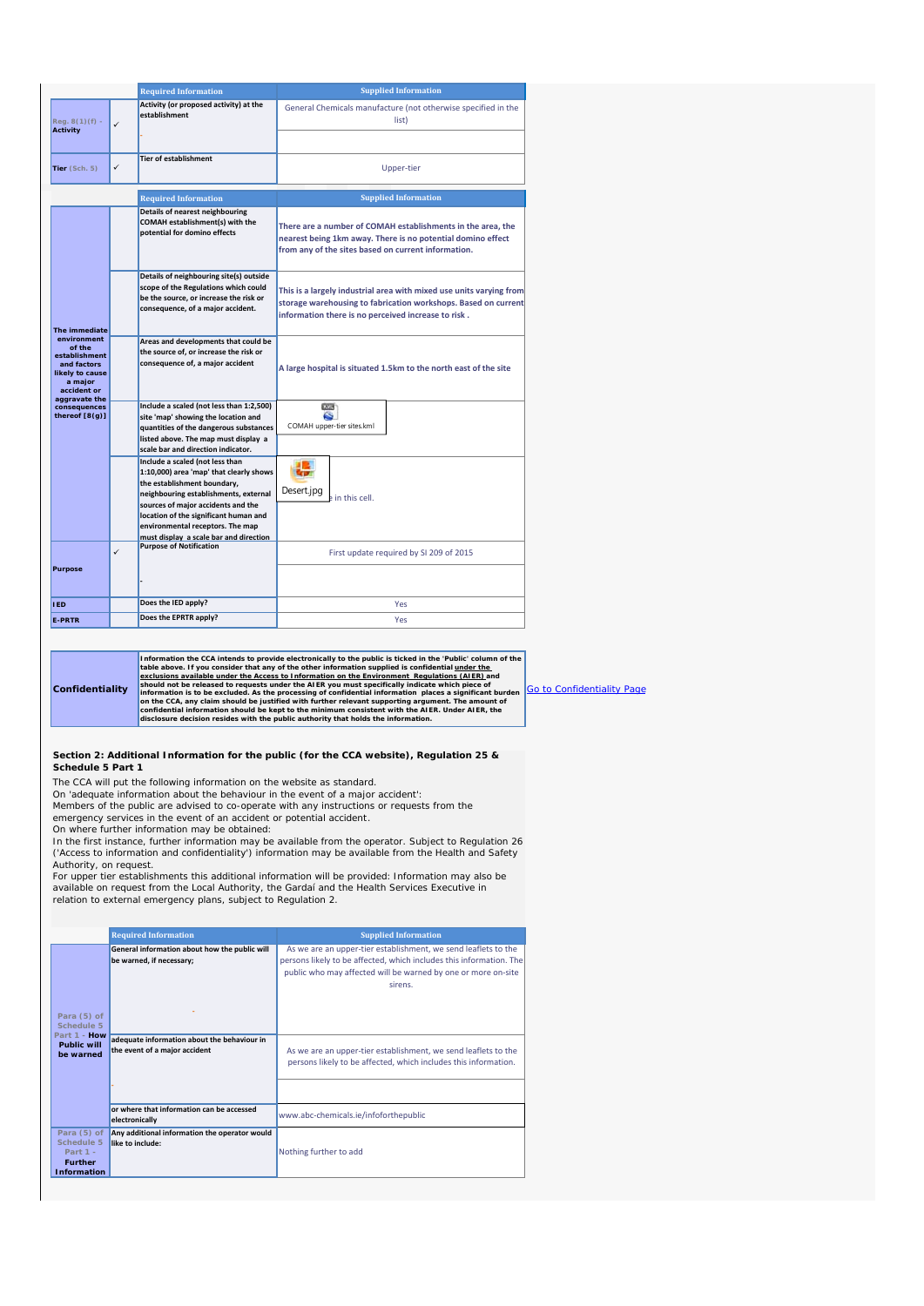|                                                                                                    |   | <b>Required Information</b>                                                                                                                                                                                                                                                                                     | <b>Supplied Information</b>                                                                                                                                                                  |
|----------------------------------------------------------------------------------------------------|---|-----------------------------------------------------------------------------------------------------------------------------------------------------------------------------------------------------------------------------------------------------------------------------------------------------------------|----------------------------------------------------------------------------------------------------------------------------------------------------------------------------------------------|
| $Req. 8(1)(f) -$<br><b>Activity</b>                                                                | ✓ | Activity (or proposed activity) at the<br>establishment                                                                                                                                                                                                                                                         | General Chemicals manufacture (not otherwise specified in the<br>list)                                                                                                                       |
|                                                                                                    |   |                                                                                                                                                                                                                                                                                                                 |                                                                                                                                                                                              |
| Tier (Sch. 5)                                                                                      | ✓ | <b>Tier of establishment</b>                                                                                                                                                                                                                                                                                    | Upper-tier                                                                                                                                                                                   |
|                                                                                                    |   | <b>Required Information</b>                                                                                                                                                                                                                                                                                     | <b>Supplied Information</b>                                                                                                                                                                  |
|                                                                                                    |   | Details of nearest neighbouring<br>COMAH establishment(s) with the<br>potential for domino effects                                                                                                                                                                                                              | There are a number of COMAH establishments in the area, the<br>nearest being 1km away. There is no potential domino effect<br>from any of the sites based on current information.            |
| The immediate                                                                                      |   | Details of neighbouring site(s) outside<br>scope of the Regulations which could<br>be the source, or increase the risk or<br>consequence, of a major accident.                                                                                                                                                  | This is a largely industrial area with mixed use units varying from<br>storage warehousing to fabrication workshops. Based on current<br>information there is no perceived increase to risk. |
| environment<br>of the<br>establishment<br>and factors<br>likely to cause<br>a major<br>accident or |   | Areas and developments that could be<br>the source of, or increase the risk or<br>consequence of, a major accident                                                                                                                                                                                              | A large hospital is situated 1.5km to the north east of the site                                                                                                                             |
| aggravate the<br>consequences<br>thereof [8(g)]                                                    |   | Include a scaled (not less than 1:2,500)<br>site 'map' showing the location and<br>quantities of the dangerous substances<br>listed above. The map must display a<br>scale bar and direction indicator.                                                                                                         | 10.4<br>s<br>COMAH upper-tier sites.kml                                                                                                                                                      |
|                                                                                                    |   | Include a scaled (not less than<br>1:10,000) area 'map' that clearly shows<br>the establishment boundary,<br>neighbouring establishments, external<br>sources of major accidents and the<br>location of the significant human and<br>environmental receptors. The map<br>must display a scale bar and direction | Desert.jpg<br>in this cell.                                                                                                                                                                  |
| Purpose                                                                                            | ✓ | <b>Purpose of Notification</b>                                                                                                                                                                                                                                                                                  | First update required by SI 209 of 2015                                                                                                                                                      |
| <b>IED</b>                                                                                         |   | Does the IED apply?                                                                                                                                                                                                                                                                                             | Yes                                                                                                                                                                                          |
| <b>E-PRTR</b>                                                                                      |   | Does the EPRTR apply?                                                                                                                                                                                                                                                                                           | Yes                                                                                                                                                                                          |

**Confidentiality** Information the CA intends to provide electronically to the public is ticked in the "Public' column of the labove. If you consider that any of the other information on the Environment Regulations available under the Access

**Section 2: Additional Information for the public (for the CCA website), Regulation 25 & Schedule 5 Part 1**

The CCA will put the following information on the website as standard.

On 'adequate information about the behaviour in the event of a major accident': *Members of the public are advised to co-operate with any instructions or requests from the* 

*emergency services in the event of an accident or potential accident*.

On where further information may be obtained: *In the first instance, further information may be available from the operator. Subject to Regulation 26 ('Access to information and confidentiality') information may be available from the Health and Safety Authority, on request.* 

For upper tier establishments this additional information will be provided: *Information may also be*<br>*available on request from the Local Authority, the Gardaí and the Health Services Executive in<br>relation to external eme* 

|                                                                                 | <b>Required Information</b>                                                  | <b>Supplied Information</b>                                                                                                                                                                                       |
|---------------------------------------------------------------------------------|------------------------------------------------------------------------------|-------------------------------------------------------------------------------------------------------------------------------------------------------------------------------------------------------------------|
| Para (5) of<br>Schedule 5<br>Part 1 - How                                       | General information about how the public will<br>be warned, if necessary;    | As we are an upper-tier establishment, we send leaflets to the<br>persons likely to be affected, which includes this information. The<br>public who may affected will be warned by one or more on-site<br>sirens. |
| <b>Public will</b><br>be warned                                                 | adequate information about the behaviour in<br>the event of a major accident | As we are an upper-tier establishment, we send leaflets to the<br>persons likely to be affected, which includes this information.                                                                                 |
|                                                                                 |                                                                              |                                                                                                                                                                                                                   |
|                                                                                 | or where that information can be accessed<br>electronically                  | www.abc-chemicals.ie/infoforthepublic                                                                                                                                                                             |
| Para (5) of<br>Schedule 5<br>Part $1 -$<br><b>Further</b><br><b>Information</b> | Any additional information the operator would<br>like to include:            | Nothing further to add                                                                                                                                                                                            |

Go to Confidentiality Page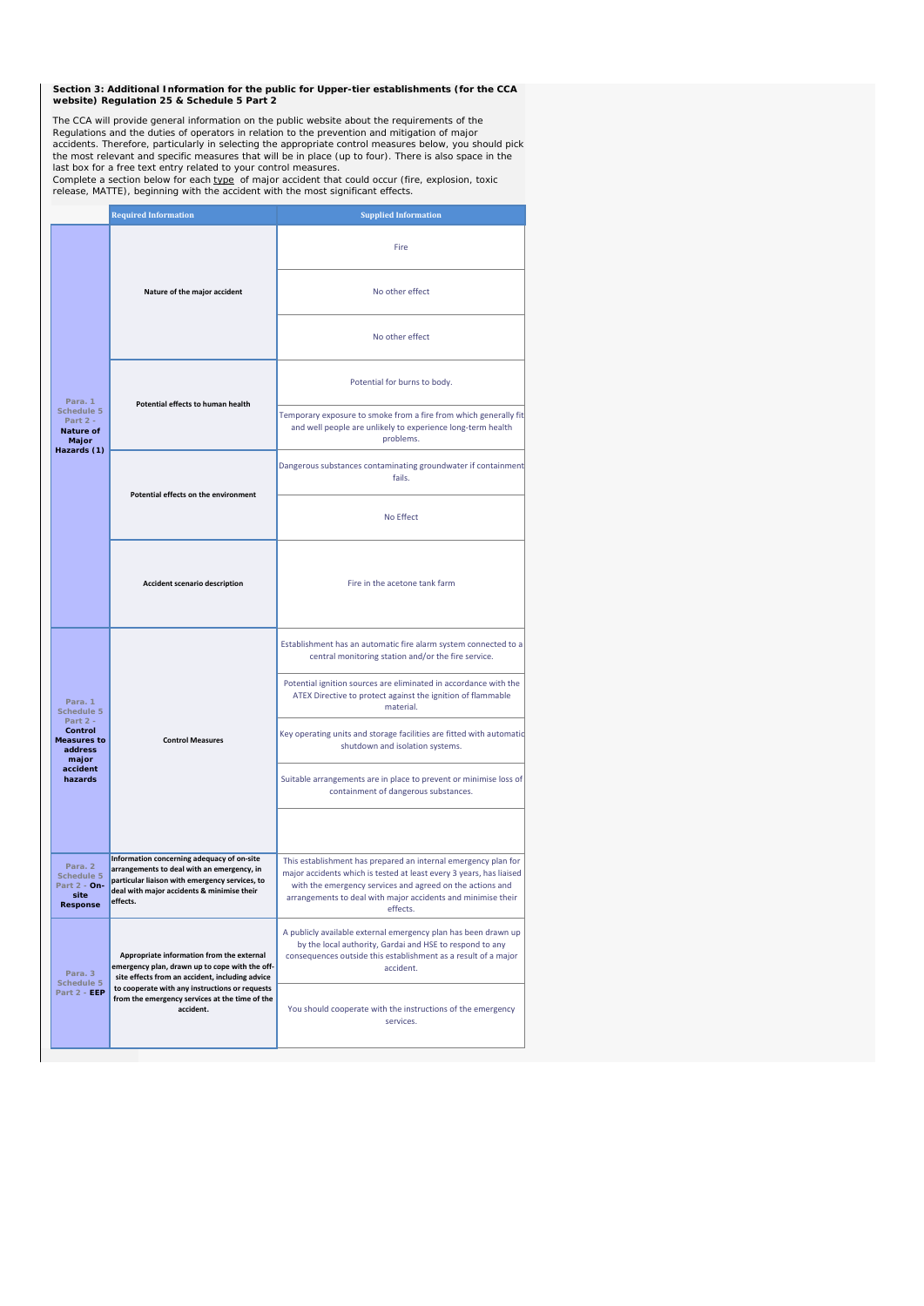**Section 3: Additional Information for the public for Upper-tier establishments (for the CCA website) Regulation 25 & Schedule 5 Part 2**

The CCA will provide general information on the public website about the requirements of the<br>Regulations and the duties of operators in relation to the prevention and mitigation of major<br>accidents. Therefore, particularly

last box for a free text entry related to your control measures.<br>Complete a section below for each <u>type</u> of major accident that could occur (fire, explosion, toxic<br>release, MATTE), beginning with the accident with the mo

|                                                               | <b>Required Information</b><br><b>Supplied Information</b>                                                                                                                                           |                                                                                                                                                                                                                                                                                |  |
|---------------------------------------------------------------|------------------------------------------------------------------------------------------------------------------------------------------------------------------------------------------------------|--------------------------------------------------------------------------------------------------------------------------------------------------------------------------------------------------------------------------------------------------------------------------------|--|
|                                                               | Nature of the major accident                                                                                                                                                                         | Fire<br>No other effect                                                                                                                                                                                                                                                        |  |
|                                                               |                                                                                                                                                                                                      | No other effect                                                                                                                                                                                                                                                                |  |
| Para, 1                                                       | Potential effects to human health                                                                                                                                                                    | Potential for burns to body.                                                                                                                                                                                                                                                   |  |
| Schedule 5<br>Part 2 -<br><b>Nature of</b><br>Major           | Temporary exposure to smoke from a fire from which generally fit<br>and well people are unlikely to experience long-term health<br>problems.                                                         |                                                                                                                                                                                                                                                                                |  |
| Hazards (1)<br>Potential effects on the environment           |                                                                                                                                                                                                      | Dangerous substances contaminating groundwater if containment<br>fails.                                                                                                                                                                                                        |  |
|                                                               | No Effect                                                                                                                                                                                            |                                                                                                                                                                                                                                                                                |  |
| <b>Accident scenario description</b>                          |                                                                                                                                                                                                      | Fire in the acetone tank farm                                                                                                                                                                                                                                                  |  |
|                                                               |                                                                                                                                                                                                      | Establishment has an automatic fire alarm system connected to a<br>central monitoring station and/or the fire service.                                                                                                                                                         |  |
| Para. 1<br>Schedule 5                                         |                                                                                                                                                                                                      | Potential ignition sources are eliminated in accordance with the<br>ATEX Directive to protect against the ignition of flammable<br>material.                                                                                                                                   |  |
| Part 2 -<br>Control<br><b>Measures to</b><br>address<br>major | <b>Control Measures</b>                                                                                                                                                                              | Key operating units and storage facilities are fitted with automatic<br>shutdown and isolation systems.                                                                                                                                                                        |  |
| accident<br>hazards                                           |                                                                                                                                                                                                      | Suitable arrangements are in place to prevent or minimise loss of<br>containment of dangerous substances.                                                                                                                                                                      |  |
|                                                               |                                                                                                                                                                                                      |                                                                                                                                                                                                                                                                                |  |
| Para. 2<br>Schedule 5<br>Part 2 - On-<br>site<br>Response     | Information concerning adequacy of on-site<br>arrangements to deal with an emergency, in<br>particular liaison with emergency services, to<br>deal with major accidents & minimise their<br>effects. | This establishment has prepared an internal emergency plan for<br>major accidents which is tested at least every 3 years, has liaised<br>with the emergency services and agreed on the actions and<br>arrangements to deal with major accidents and minimise their<br>effects. |  |
| Para. 3<br>Schedule 5                                         | Appropriate information from the external<br>emergency plan, drawn up to cope with the off-<br>site effects from an accident, including advice                                                       | A publicly available external emergency plan has been drawn up<br>by the local authority, Gardai and HSE to respond to any<br>consequences outside this establishment as a result of a major<br>accident.                                                                      |  |
| Part 2 - EEP                                                  | to cooperate with any instructions or requests<br>from the emergency services at the time of the<br>accident.                                                                                        | You should cooperate with the instructions of the emergency<br>services.                                                                                                                                                                                                       |  |
|                                                               |                                                                                                                                                                                                      |                                                                                                                                                                                                                                                                                |  |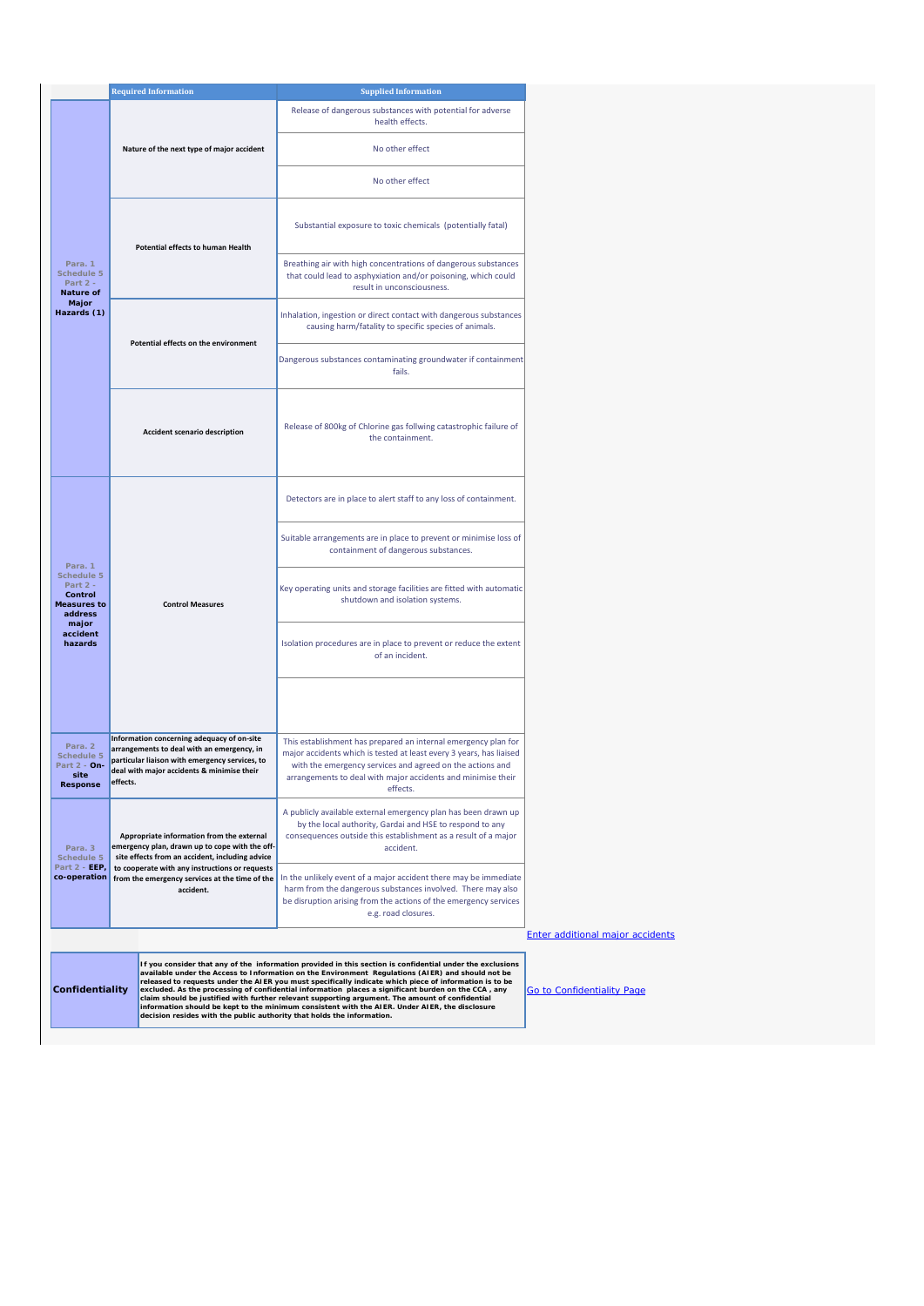|                                                                                 | <b>Required Information</b>                                                                                                                    |                                                                                                                                                                                          | <b>Supplied Information</b>                                                                                                                                                                                                                                                                                                                                                                                                                                                                                                                                                                                                                                                                                    |
|---------------------------------------------------------------------------------|------------------------------------------------------------------------------------------------------------------------------------------------|------------------------------------------------------------------------------------------------------------------------------------------------------------------------------------------|----------------------------------------------------------------------------------------------------------------------------------------------------------------------------------------------------------------------------------------------------------------------------------------------------------------------------------------------------------------------------------------------------------------------------------------------------------------------------------------------------------------------------------------------------------------------------------------------------------------------------------------------------------------------------------------------------------------|
|                                                                                 |                                                                                                                                                |                                                                                                                                                                                          | Release of dangerous substances with potential for adverse<br>health effects.                                                                                                                                                                                                                                                                                                                                                                                                                                                                                                                                                                                                                                  |
|                                                                                 |                                                                                                                                                | Nature of the next type of major accident                                                                                                                                                | No other effect                                                                                                                                                                                                                                                                                                                                                                                                                                                                                                                                                                                                                                                                                                |
|                                                                                 |                                                                                                                                                |                                                                                                                                                                                          | No other effect                                                                                                                                                                                                                                                                                                                                                                                                                                                                                                                                                                                                                                                                                                |
|                                                                                 |                                                                                                                                                | Potential effects to human Health                                                                                                                                                        | Substantial exposure to toxic chemicals (potentially fatal)                                                                                                                                                                                                                                                                                                                                                                                                                                                                                                                                                                                                                                                    |
| Para. 1<br>Schedule 5<br>Part $2 -$<br><b>Nature of</b>                         |                                                                                                                                                |                                                                                                                                                                                          | Breathing air with high concentrations of dangerous substances<br>that could lead to asphyxiation and/or poisoning, which could<br>result in unconsciousness.                                                                                                                                                                                                                                                                                                                                                                                                                                                                                                                                                  |
| Major<br>Hazards (1)                                                            |                                                                                                                                                | Potential effects on the environment                                                                                                                                                     | Inhalation, ingestion or direct contact with dangerous substances<br>causing harm/fatality to specific species of animals.                                                                                                                                                                                                                                                                                                                                                                                                                                                                                                                                                                                     |
|                                                                                 |                                                                                                                                                |                                                                                                                                                                                          | Dangerous substances contaminating groundwater if containment<br>fails.                                                                                                                                                                                                                                                                                                                                                                                                                                                                                                                                                                                                                                        |
|                                                                                 |                                                                                                                                                | <b>Accident scenario description</b>                                                                                                                                                     | Release of 800kg of Chlorine gas follwing catastrophic failure of<br>the containment.                                                                                                                                                                                                                                                                                                                                                                                                                                                                                                                                                                                                                          |
|                                                                                 |                                                                                                                                                |                                                                                                                                                                                          | Detectors are in place to alert staff to any loss of containment.                                                                                                                                                                                                                                                                                                                                                                                                                                                                                                                                                                                                                                              |
|                                                                                 |                                                                                                                                                |                                                                                                                                                                                          | Suitable arrangements are in place to prevent or minimise loss of<br>containment of dangerous substances.                                                                                                                                                                                                                                                                                                                                                                                                                                                                                                                                                                                                      |
| Para, 1<br>Schedule 5<br>Part $2 -$<br>Control<br><b>Measures to</b><br>address |                                                                                                                                                | <b>Control Measures</b>                                                                                                                                                                  | Key operating units and storage facilities are fitted with automatic<br>shutdown and isolation systems.                                                                                                                                                                                                                                                                                                                                                                                                                                                                                                                                                                                                        |
| major<br>accident<br>hazards                                                    |                                                                                                                                                |                                                                                                                                                                                          | Isolation procedures are in place to prevent or reduce the extent<br>of an incident.                                                                                                                                                                                                                                                                                                                                                                                                                                                                                                                                                                                                                           |
|                                                                                 |                                                                                                                                                |                                                                                                                                                                                          |                                                                                                                                                                                                                                                                                                                                                                                                                                                                                                                                                                                                                                                                                                                |
| Para, 2<br>Schedule 5<br>Part 2 - On-<br>site<br><b>Response</b>                | effects.                                                                                                                                       | Information concerning adequacy of on-site<br>arrangements to deal with an emergency, in<br>particular liaison with emergency services, to<br>deal with major accidents & minimise their | This establishment has prepared an internal emergency plan for<br>major accidents which is tested at least every 3 years, has liaised<br>with the emergency services and agreed on the actions and<br>arrangements to deal with major accidents and minimise their<br>effects.                                                                                                                                                                                                                                                                                                                                                                                                                                 |
| Para, 3<br>Schedule 5                                                           | Appropriate information from the external<br>emergency plan, drawn up to cope with the off-<br>site effects from an accident, including advice |                                                                                                                                                                                          | A publicly available external emergency plan has been drawn up<br>by the local authority, Gardai and HSE to respond to any<br>consequences outside this establishment as a result of a major<br>accident.                                                                                                                                                                                                                                                                                                                                                                                                                                                                                                      |
| Part 2 - EEP,<br>co-operation                                                   |                                                                                                                                                | to cooperate with any instructions or requests<br>from the emergency services at the time of the<br>accident.                                                                            | In the unlikely event of a major accident there may be immediate<br>harm from the dangerous substances involved. There may also<br>be disruption arising from the actions of the emergency services<br>e.g. road closures.                                                                                                                                                                                                                                                                                                                                                                                                                                                                                     |
|                                                                                 |                                                                                                                                                |                                                                                                                                                                                          |                                                                                                                                                                                                                                                                                                                                                                                                                                                                                                                                                                                                                                                                                                                |
| Confidentiality                                                                 |                                                                                                                                                |                                                                                                                                                                                          | If you consider that any of the information provided in this section is confidential under the exclusions<br>available under the Access to Information on the Environment Regulations (AIER) and should not be<br>released to requests under the AIER you must specifically indicate which piece of information is to be<br>excluded. As the processing of confidential information places a significant burden on the CCA, any<br>claim should be justified with further relevant supporting argument. The amount of confidential<br>information should be kept to the minimum consistent with the AIER. Under AIER, the disclosure<br>decision resides with the public authority that holds the information. |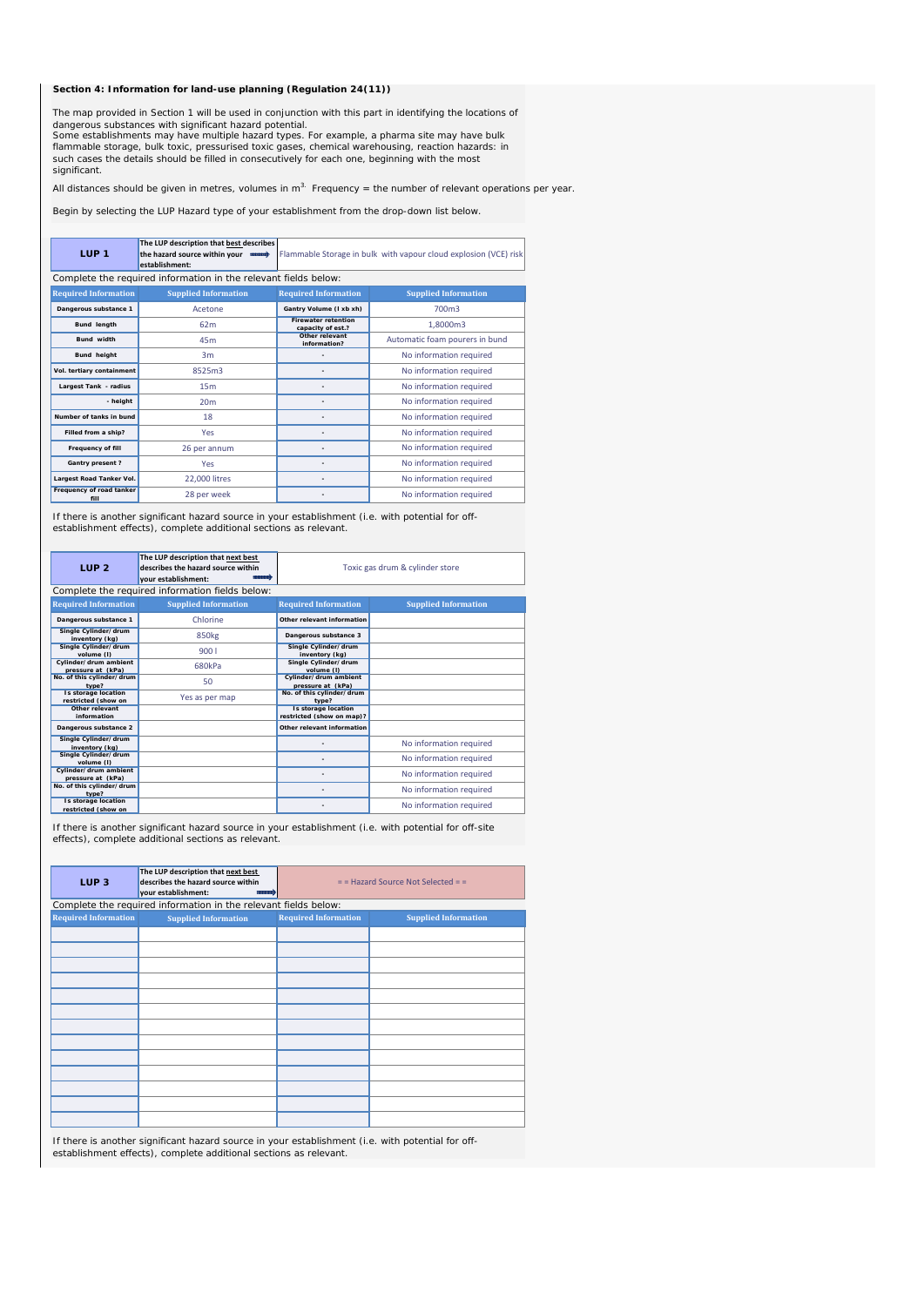## **Section 4: Information for land-use planning (Regulation 24(11))**

dangerous substances with significant hazard potential.<br>Some establishments may have multiple hazard types. For example, a pharma site may have bulk flammable storage, bulk toxic, pressurised toxic gases, chemical warehousing, reaction hazards: in such cases the details should be filled in consecutively for each one, beginning with the most significant. The map provided in Section 1 will be used in conjunction with this part in identifying the locations of

All distances should be given in metres, volumes in  $m<sup>3</sup>$ . Frequency = the number of relevant operations per year.

Begin by selecting the LUP Hazard type of your establishment from the drop-down list below.

| LUP <sub>1</sub>                 | The LUP description that best describes<br>the hazard source within your<br>establishment: |                                                 | Flammable Storage in bulk with vapour cloud explosion (VCE) risk |
|----------------------------------|--------------------------------------------------------------------------------------------|-------------------------------------------------|------------------------------------------------------------------|
|                                  | Complete the required information in the relevant fields below:                            |                                                 |                                                                  |
| <b>Required Information</b>      | <b>Supplied Information</b>                                                                | <b>Required Information</b>                     | <b>Supplied Information</b>                                      |
| Dangerous substance 1            | Acetone                                                                                    | Gantry Volume (I xb xh)                         | 700m3                                                            |
| <b>Bund length</b>               | 62m                                                                                        | <b>Firewater retention</b><br>capacity of est.? | 1,8000m3                                                         |
| <b>Bund</b> width                | 45m                                                                                        | Other relevant<br>information?                  | Automatic foam pourers in bund                                   |
| Bund height                      | 3m                                                                                         |                                                 | No information required                                          |
| Vol. tertiary containment        | 8525m3                                                                                     |                                                 | No information required                                          |
| Largest Tank - radius            | 15 <sub>m</sub>                                                                            |                                                 | No information required                                          |
| - height                         | 20 <sub>m</sub>                                                                            |                                                 | No information required                                          |
| Number of tanks in bund          | 18                                                                                         |                                                 | No information required                                          |
| Filled from a ship?              | Yes                                                                                        |                                                 | No information required                                          |
| Frequency of fill                | 26 per annum                                                                               |                                                 | No information required                                          |
| <b>Gantry present?</b>           | Yes                                                                                        |                                                 | No information required                                          |
| Largest Road Tanker Vol.         | 22,000 litres                                                                              |                                                 | No information required                                          |
| Frequency of road tanker<br>fill | 28 per week                                                                                |                                                 | No information required                                          |

If there is another significant hazard source in your establishment (i.e. with potential for offestablishment effects), complete additional sections as relevant.

| LUP <sub>2</sub>                                  | The LUP description that next best<br>describes the hazard source within<br>vour establishment: |                                                         | Toxic gas drum & cylinder store |
|---------------------------------------------------|-------------------------------------------------------------------------------------------------|---------------------------------------------------------|---------------------------------|
|                                                   | Complete the required information fields below:                                                 |                                                         |                                 |
| <b>Required Information</b>                       | <b>Supplied Information</b>                                                                     | <b>Required Information</b>                             | <b>Supplied Information</b>     |
| Dangerous substance 1                             | Chlorine                                                                                        | Other relevant information                              |                                 |
| Single Cylinder/drum<br>inventory (kg)            | 850 <sub>kg</sub>                                                                               | Dangerous substance 3                                   |                                 |
| Single Cylinder/drum<br>volume (I)                | 9001                                                                                            | Single Cylinder/drum<br>inventory (kg)                  |                                 |
| Cylinder/drum ambient<br>pressure at (kPa)        | 680kPa                                                                                          | Single Cylinder/drum<br>volume (I)                      |                                 |
| No. of this cylinder/drum<br>type?                | 50                                                                                              | Cylinder/drum ambient<br>pressure at (kPa)              |                                 |
| <b>Is storage location</b><br>restricted (show on | Yes as per map                                                                                  | No. of this cylinder/drum<br>type?                      |                                 |
| Other relevant<br>information                     |                                                                                                 | <b>Is storage location</b><br>restricted (show on map)? |                                 |
| Dangerous substance 2                             |                                                                                                 | Other relevant information                              |                                 |
| Single Cylinder/drum<br>inventory (kg)            |                                                                                                 |                                                         | No information required         |
| Single Cylinder/drum<br>volume (I)                |                                                                                                 |                                                         | No information required         |
| Cylinder/drum ambient<br>pressure at (kPa)        |                                                                                                 |                                                         | No information required         |
| No. of this cylinder/drum<br>type?                |                                                                                                 |                                                         | No information required         |
| Is storage location<br>restricted (show on        |                                                                                                 |                                                         | No information required         |

If there is another significant hazard source in your establishment (i.e. with potential for off-site effects), complete additional sections as relevant.

| LUP <sub>3</sub>            | The LUP description that next best<br>describes the hazard source within<br>your establishment: |                             | $=$ = Hazard Source Not Selected = = |
|-----------------------------|-------------------------------------------------------------------------------------------------|-----------------------------|--------------------------------------|
|                             | Complete the required information in the relevant fields below:                                 |                             |                                      |
| <b>Required Information</b> | <b>Supplied Information</b>                                                                     | <b>Required Information</b> | <b>Supplied Information</b>          |
|                             |                                                                                                 |                             |                                      |
|                             |                                                                                                 |                             |                                      |
|                             |                                                                                                 |                             |                                      |
|                             |                                                                                                 |                             |                                      |
|                             |                                                                                                 |                             |                                      |
|                             |                                                                                                 |                             |                                      |
|                             |                                                                                                 |                             |                                      |
|                             |                                                                                                 |                             |                                      |
|                             |                                                                                                 |                             |                                      |
|                             |                                                                                                 |                             |                                      |
|                             |                                                                                                 |                             |                                      |
|                             |                                                                                                 |                             |                                      |
|                             |                                                                                                 |                             |                                      |

If there is another significant hazard source in your establishment (i.e. with potential for offestablishment effects), complete additional sections as relevant.